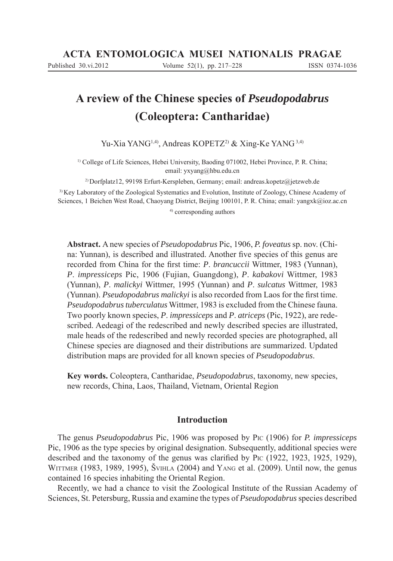# **A review of the Chinese species of** *Pseudopodabrus* **(Coleoptera: Cantharidae)**

Yu-Xia YANG<sup>1,4)</sup>, Andreas KOPETZ<sup>2)</sup> & Xing-Ke YANG<sup>3,4)</sup>

<sup>1)</sup> College of Life Sciences, Hebei University, Baoding 071002, Hebei Province, P. R. China; email: yxyang@hbu.edu.cn

2) Dorfplatz12, 99198 Erfurt-Kerspleben, Germany; email: andreas.kopetz@jetzweb.de

3) Key Laboratory of the Zoological Systematics and Evolution, Institute of Zoology, Chinese Academy of Sciences, 1 Beichen West Road, Chaoyang District, Beijing 100101, P. R. China; email: yangxk@ioz.ac.cn

4) corresponding authors

**Abstract.** A new species of *Pseudopodabrus* Pic, 1906, *P. foveatus* sp. nov. (China: Yunnan), is described and illustrated. Another five species of this genus are recorded from China for the first time: *P. brancuccii* Wittmer, 1983 (Yunnan), *P*. *impressiceps* Pic, 1906 (Fujian, Guangdong), *P*. *kabakovi* Wittmer, 1983 (Yunnan), *P*. *malickyi* Wittmer, 1995 (Yunnan) and *P*. *sulcatus* Wittmer, 1983 (Yunnan). *Pseudopodabrus malickyi* is also recorded from Laos for the first time. *Pseudopodabrustuberculatus* Wittmer, 1983 is excluded from the Chinese fauna. Two poorly known species, *P*. *impressiceps* and *P*. *atriceps* (Pic, 1922), are redescribed. Aedeagi of the redescribed and newly described species are illustrated, male heads of the redescribed and newly recorded species are photographed, all Chinese species are diagnosed and their distributions are summarized. Updated distribution maps are provided for all known species of *Pseudopodabrus*.

**Key words.** Coleoptera, Cantharidae, *Pseudopodabrus*, taxonomy, new species, new records, China, Laos, Thailand, Vietnam, Oriental Region

# **Introduction**

The genus *Pseudopodabrus* Pic, 1906 was proposed by PIC (1906) for *P. impressiceps* Pic, 1906 as the type species by original designation. Subsequently, additional species were described and the taxonomy of the genus was clarified by PIC  $(1922, 1923, 1925, 1929)$ , WITTMER (1983, 1989, 1995), ŠVIHLA (2004) and YANG et al. (2009). Until now, the genus contained 16 species inhabiting the Oriental Region.

Recently, we had a chance to visit the Zoological Institute of the Russian Academy of Sciences, St. Petersburg, Russia and examine the types of *Pseudopodabrus* species described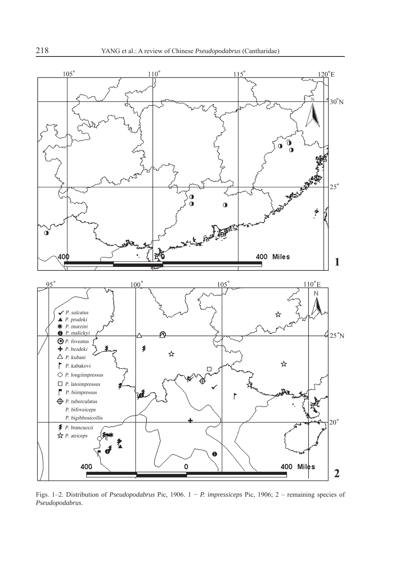

Figs. 1–2. Distribution of *Pseudopodabrus* Pic, 1906. 1 − *P. impressiceps* Pic, 1906; 2 – remaining species of *Pseudopodabrus*.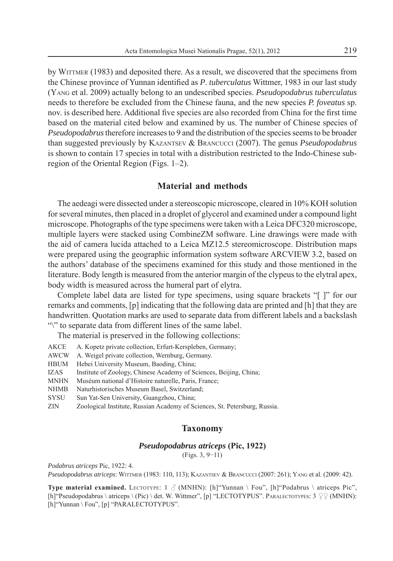by WITTMER (1983) and deposited there. As a result, we discovered that the specimens from the Chinese province of Yunnan identified as *P. tuberculatus* Wittmer, 1983 in our last study (YANG et al. 2009) actually belong to an undescribed species. *Pseudopodabrus tuberculatus*  needs to therefore be excluded from the Chinese fauna, and the new species *P. foveatus* sp. nov. is described here. Additional five species are also recorded from China for the first time based on the material cited below and examined by us. The number of Chinese species of *Pseudopodabrus* therefore increases to 9 and the distribution of the species seems to be broader than suggested previously by KAZANTSEV & BRANCUCCI (2007). The genus *Pseudopodabrus*  is shown to contain 17 species in total with a distribution restricted to the Indo-Chinese subregion of the Oriental Region (Figs. 1–2).

# **Material and methods**

The aedeagi were dissected under a stereoscopic microscope, cleared in 10% KOH solution for several minutes, then placed in a droplet of glycerol and examined under a compound light microscope. Photographs of the type specimens were taken with a Leica DFC320 microscope, multiple layers were stacked using CombineZM software. Line drawings were made with the aid of camera lucida attached to a Leica MZ12.5 stereomicroscope. Distribution maps were prepared using the geographic information system software ARCVIEW 3.2, based on the authors' database of the specimens examined for this study and those mentioned in the literature. Body length is measured from the anterior margin of the clypeus to the elytral apex, body width is measured across the humeral part of elytra.

Complete label data are listed for type specimens, using square brackets "[ ]" for our remarks and comments, [p] indicating that the following data are printed and [h] that they are handwritten. Quotation marks are used to separate data from different labels and a backslash "\" to separate data from different lines of the same label.

The material is preserved in the following collections:

- AKCE A. Kopetz private collection, Erfurt-Kerspleben, Germany;
- AWCW A. Weigel private collection, Wernburg, Germany.
- HBUM Hebei University Museum, Baoding, China;
- IZAS Institute of Zoology, Chinese Academy of Sciences, Beijing, China;
- MNHN Muséum national d'Histoire naturelle, Paris, France;
- NHMB Naturhistorisches Museum Basel, Switzerland;
- SYSU Sun Yat-Sen University, Guangzhou, China;
- ZIN Zoological Institute, Russian Academy of Sciences, St. Petersburg, Russia.

## **Taxonomy**

## *Pseudopodabrus atriceps* **(Pic, 1922)**

(Figs. 3, 9−11)

*Podabrus atriceps* Pic, 1922: 4.

*Pseudopodabrus atriceps* : WITTMER (1983: 110, 113); KAZANTSEV & BRANCUCCI (2007: 261); YANG et al. (2009: 42).

**Type material examined.** LECTOTYPE:  $1 \text{ } \Diamond$  (MNHN): [h]"Yunnan \ Fou", [h]"Podabrus \ atriceps Pic", [h]"Pseudopodabrus \ atriceps \ (Pic) \ det. W. Wittmer", [p] "LECTOTYPUS". PARALECTOTYPES: 3  $\varphi$  (MNHN): [h]"Yunnan \ Fou", [p] "PARALECTOTYPUS".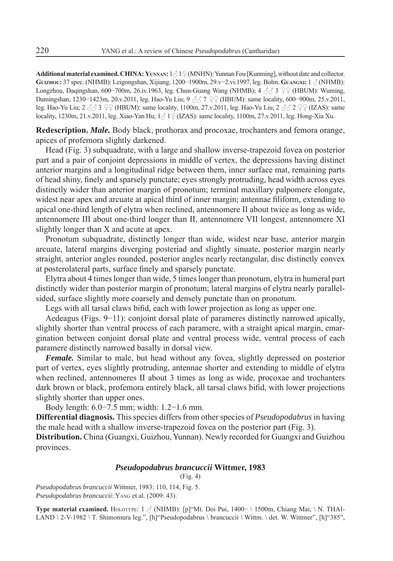**Additional material examined. CHINA: YUNNAN:**  $1 \land 1 \lor 1 \lor 1$  (MNHN): Yunnan Fou [Kunming], without date and collector. **GUIZHOU:** 37 spec. (NHMB): Leigongshan, Xijiang, 1200−1900m, 29.v−2.vi.1997, leg. Bolm. **GUANGXI:** 1 (NHMB): Longzhou, Daqingshan, 600–700m, 26.iv.1963, leg. Chun-Guang Wang (NHMB); 4 33 9 9 (HBUM): Wuming, Damingshan, 1230−1423m, 20.v.2011, leg. Hao-Yu Liu; 9 7 (HBUM): same locality, 600−900m, 25.v.2011, leg. Hao-Yu Liu;  $2 \angle 3 \angle 3 \angle 2 \angle$  (HBUM): same locality, 1100m, 27.v.2011, leg. Hao-Yu Liu;  $2 \angle 3 \angle 2 \angle 6$  (IZAS): same locality, 1230m, 21.v.2011, leg. Xiao-Yan Hu;  $1\frac{3}{12}$  (IZAS): same locality, 1100m, 27.v.2011, leg. Hong-Xia Xu.

**Redescription.** *Male.* Body black, prothorax and procoxae, trochanters and femora orange, apices of profemora slightly darkened.

Head (Fig. 3) subquadrate, with a large and shallow inverse-trapezoid fovea on posterior part and a pair of conjoint depressions in middle of vertex, the depressions having distinct anterior margins and a longitudinal ridge between them, inner surface mat, remaining parts of head shiny, finely and sparsely punctate; eyes strongly protruding, head width across eyes distinctly wider than anterior margin of pronotum; terminal maxillary palpomere elongate, widest near apex and arcuate at apical third of inner margin; antennae filiform, extending to apical one-third length of elytra when reclined, antennomere II about twice as long as wide, antennomere III about one-third longer than II, antennomere VII longest, antennomere XI slightly longer than X and acute at apex.

Pronotum subquadrate, distinctly longer than wide, widest near base, anterior margin arcuate, lateral margins diverging posteriad and slightly sinuate, posterior margin nearly straight, anterior angles rounded, posterior angles nearly rectangular, disc distinctly convex at posterolateral parts, surface finely and sparsely punctate.

Elytra about 4 times longer than wide, 5 times longer than pronotum, elytra in humeral part distinctly wider than posterior margin of pronotum; lateral margins of elytra nearly parallelsided, surface slightly more coarsely and densely punctate than on pronotum.

Legs with all tarsal claws bifid, each with lower projection as long as upper one.

Aedeagus (Figs. 9−11): conjoint dorsal plate of parameres distinctly narrowed apically, slightly shorter than ventral process of each paramere, with a straight apical margin, emargination between conjoint dorsal plate and ventral process wide, ventral process of each paramere distinctly narrowed basally in dorsal view.

*Female.* Similar to male, but head without any fovea, slightly depressed on posterior part of vertex, eyes slightly protruding, antennae shorter and extending to middle of elytra when reclined, antennomeres II about 3 times as long as wide, procoxae and trochanters dark brown or black, profemora entirely black, all tarsal claws bifid, with lower projections slightly shorter than upper ones.

Body length: 6.0−7.5 mm; width: 1.2−1.6 mm.

**Differential diagnosis.** This species differs from other species of *Pseudopodabrus* in having the male head with a shallow inverse-trapezoid fovea on the posterior part (Fig. 3).

**Distribution.** China (Guangxi, Guizhou, Yunnan). Newly recorded for Guangxi and Guizhou provinces.

### *Pseudopodabrus brancuccii* **Wittmer, 1983**

(Fig. 4)

*Pseudopodabrus brancuccii* Wittmer, 1983: 110, 114, Fig. 5. *Pseudopodabrus brancuccii* : YANG et al. (2009: 43).

**Type material examined.** HOLOTYPE: 1 (NHMB): [p]"Mt. Doi Pui, 1400− \ 1500m, Chiang Mai, \ N. THAI-LAND \ 2-V-1982 \ T. Shimomura leg.", [h]"Pseudopodabrus \ brancuccii \ Wittm. \ det. W. Wittmer", [h]"385",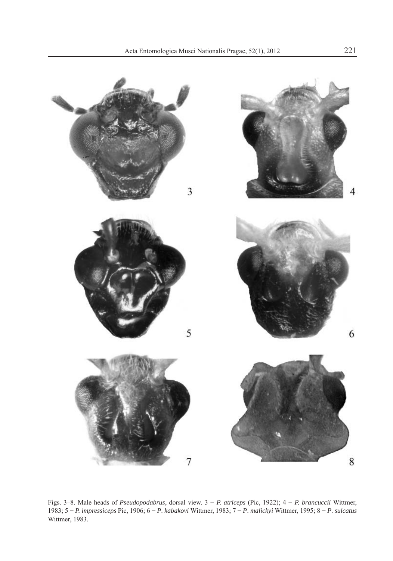

Figs. 3–8. Male heads of *Pseudopodabrus*, dorsal view. 3 − *P. atriceps* (Pic, 1922); 4 − *P. brancuccii* Wittmer, 1983; 5 − *P. impressiceps* Pic, 1906; 6 − *P*. *kabakovi* Wittmer, 1983; 7 − *P*. *malickyi* Wittmer, 1995; 8 − *P*. *sulcatus*  Wittmer, 1983.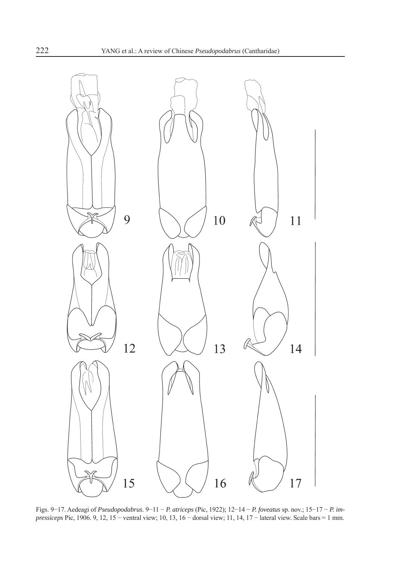

Figs. 9−17. Aedeagi of *Pseudopodabrus*. 9−11 − *P. atriceps* (Pic, 1922); 12−14 − *P. foveatus* sp. nov.; 15−17 − *P. impressiceps* Pic, 1906. 9, 12, 15 – ventral view; 10, 13, 16 – dorsal view; 11, 14, 17 – lateral view. Scale bars = 1 mm.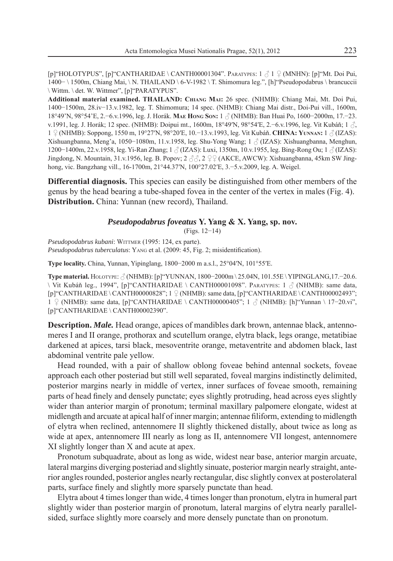[ $p$ ]"HOLOTYPUS", [ $p$ ]"CANTHARIDAE \CANTH00001304". PARATYPES:  $1 \nless 1 \nless 0$  (MNHN): [ $p$ ]"Mt. Doi Pui, 1400− \ 1500m, Chiang Mai, \ N. THAILAND \ 6-V-1982 \ T. Shimomura leg.", [h]"Pseudopodabrus \ brancuccii \ Wittm. \ det. W. Wittmer", [p]"PARATYPUS".

**Additional material examined. THAILAND: CHIANG MAI:** 26 spec. (NHMB): Chiang Mai, Mt. Doi Pui, 1400−1500m, 28.iv−13.v.1982, leg. T. Shimomura; 14 spec. (NHMB): Chiang Mai distr., Doi-Pui vill., 1600m, 18°49'N, 98°54'E, 2.−6.v.1996, leg. J. Horák. **MAE HONG SON:** 1 (NHMB): Ban Huai Po, 1600−2000m, 17.−23. v.1991, leg. J. Horák; 12 spec. (NHMB): Doipui mt., 1600m, 18°49′N, 98°54′E, 2.−6.v.1996, leg. Vit Kubáň; 1 , 1 (NHMB): Soppong, 1550 m, 19°27′N, 98°20′E, 10.−13.v.1993, leg. Vit Kubáň. **CHINA: YUNNAN:** 1 (IZAS): Xishuangbanna, Meng'a, 1050−1080m, 11.v.1958, leg. Shu-Yong Wang; 1 (IZAS): Xishuangbanna, Menghun, 1200−1400m, 22.v.1958, leg. Yi-Ran Zhang; 1 (IZAS): Luxi, 1350m, 10.v.1955, leg. Bing-Rong Ou; 1 (IZAS): Jingdong, N. Mountain, 31.v.1956, leg. B. Popov;  $2 \stackrel{\triangle}{\triangle}$ ,  $2 \stackrel{\triangle}{\triangle}$  (AKCE, AWCW): Xishuangbanna, 45km SW Jinghong, vic. Bangzhang vill., 16-1700m, 21°44.37′N, 100°27.02′E, 3.−5.v.2009, leg. A. Weigel.

**Differential diagnosis.** This species can easily be distinguished from other members of the genus by the head bearing a tube-shaped fovea in the center of the vertex in males (Fig. 4). **Distribution.** China: Yunnan (new record), Thailand.

## *Pseudopodabrus foveatus* **Y. Yang & X. Yang, sp. nov.**

(Figs. 12−14)

*Pseudopodabrus kubani*: WITTMER (1995: 124, ex parte). *Pseudopodabrus tuberculatus*: YANG et al. (2009: 45, Fig. 2; misidentification).

**Type locality.** China, Yunnan, Yipinglang, 1800−2000 m a.s.l., 25°04′N, 101°55′E.

Type material. HOLOTYPE:  $\frac{\partial}{\partial N}$ (NHMB): [p]"YUNNAN, 1800−2000m \ 25.04N, 101.55E \ YIPINGLANG,17.−20.6.  $\forall$  Vit Kubáň leg., 1994", [p] "CANTHARIDAE  $\forall$  CANTH00001098". PARATYPES: 1  $\Diamond$  (NHMB): same data,  $[p]$ "CANTHARIDAE \CANTH00000828"; 1  $\varphi$  (NHMB): same data,  $[p]$ "CANTHARIDAE \CANTH00002493"; 1  $\varphi$  (NHMB): same data, [p]"CANTHARIDAE \ CANTH00000405"; 1  $\varphi$  (NHMB): [h]"Yunnan \ 17−20.vi", [p]"CANTHARIDAE \ CANTH00002390".

**Description.** *Male.* Head orange, apices of mandibles dark brown, antennae black, antennomeres I and II orange, prothorax and scutellum orange, elytra black, legs orange, metatibiae darkened at apices, tarsi black, mesoventrite orange, metaventrite and abdomen black, last abdominal ventrite pale yellow.

Head rounded, with a pair of shallow oblong foveae behind antennal sockets, foveae approach each other posteriad but still well separated, foveal margins indistinctly delimited, posterior margins nearly in middle of vertex, inner surfaces of foveae smooth, remaining parts of head finely and densely punctate; eyes slightly protruding, head across eyes slightly wider than anterior margin of pronotum; terminal maxillary palpomere elongate, widest at midlength and arcuate at apical half of inner margin; antennae filiform, extending to midlength of elytra when reclined, antennomere II slightly thickened distally, about twice as long as wide at apex, antennomere III nearly as long as II, antennomere VII longest, antennomere XI slightly longer than X and acute at apex.

Pronotum subquadrate, about as long as wide, widest near base, anterior margin arcuate, lateral margins diverging posteriad and slightly sinuate, posterior margin nearly straight, anterior angles rounded, posterior angles nearly rectangular, disc slightly convex at posterolateral parts, surface finely and slightly more sparsely punctate than head.

Elytra about 4 times longer than wide, 4 times longer than pronotum, elytra in humeral part slightly wider than posterior margin of pronotum, lateral margins of elytra nearly parallelsided, surface slightly more coarsely and more densely punctate than on pronotum.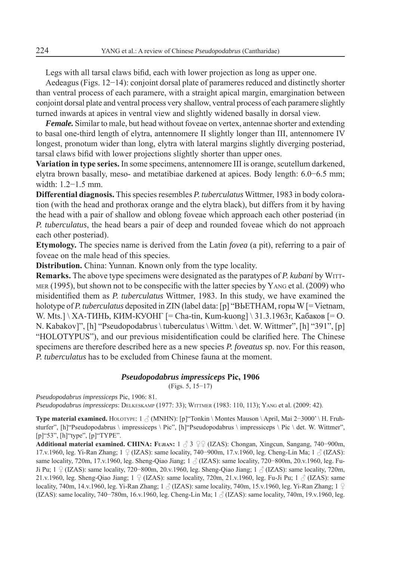Legs with all tarsal claws bifid, each with lower projection as long as upper one.

Aedeagus (Figs. 12−14): conjoint dorsal plate of parameres reduced and distinctly shorter than ventral process of each paramere, with a straight apical margin, emargination between conjoint dorsal plate and ventral process very shallow, ventral process of each paramere slightly turned inwards at apices in ventral view and slightly widened basally in dorsal view.

*Female.* Similar to male, but head without foveae on vertex, antennae shorter and extending to basal one-third length of elytra, antennomere II slightly longer than III, antennomere IV longest, pronotum wider than long, elytra with lateral margins slightly diverging posteriad, tarsal claws bifid with lower projections slightly shorter than upper ones.

**Variation in type series.** In some specimens, antennomere III is orange, scutellum darkened, elytra brown basally, meso- and metatibiae darkened at apices. Body length: 6.0−6.5 mm; width: 1.2−1.5 mm.

**Differential diagnosis.** This species resembles *P. tuberculatus* Wittmer, 1983 in body coloration (with the head and prothorax orange and the elytra black), but differs from it by having the head with a pair of shallow and oblong foveae which approach each other posteriad (in *P. tuberculatus*, the head bears a pair of deep and rounded foveae which do not approach each other posteriad).

**Etymology.** The species name is derived from the Latin *fovea* (a pit), referring to a pair of foveae on the male head of this species.

**Distribution.** China: Yunnan. Known only from the type locality.

**Remarks.** The above type specimens were designated as the paratypes of *P. kubani* by WITT-MER  $(1995)$ , but shown not to be conspecific with the latter species by YANG et al. (2009) who misidentified them as *P. tuberculatus* Wittmer, 1983. In this study, we have examined the holotype of *P. tuberculatus* deposited in ZIN (label data: [p] "ВЬETHAM, горы W [= Vietnam, W. Mts.] \ ХА-ТИНЬ, КИМ-КУОНГ [= Cha-tin, Kum-kuong] \ 31.3.1963г, Kaбаков [= O. N. Kabakov]", [h] "Pseudopodabrus \ tuberculatus \ Wittm. \ det. W. Wittmer", [h] "391", [p] "HOLOTYPUS"), and our previous misidentification could be clarified here. The Chinese specimens are therefore described here as a new species *P. foveatus* sp. nov. For this reason, *P. tuberculatus* has to be excluded from Chinese fauna at the moment.

### *Pseudopodabrus impressiceps* **Pic, 1906**

(Figs. 5, 15−17)

*Pseudopodabrus impressiceps* Pic, 1906: 81. *Pseudopodabrus impressiceps*: DELKESKAMP (1977: 33); WITTMER (1983: 110, 113); YANG et al. (2009: 42).

Type material examined. HOLOTYPE: 1  $\beta$  (MNHN): [p]"Tonkin \ Montes Mauson \ April, Mai 2–3000' \ H. Fruhsturfer", [h]"Pseudopodabrus \ impressiceps \ Pic", [h]"Pseudopodabrus \ impressiceps \ Pic \ det. W. Wittmer", [p]"53", [h]"type", [p]"TYPE".

Additional material examined. CHINA: FUJIAN: 1 3 <del>2</del> 9 (IZAS): Chongan, Xingcun, Sangang, 740–900m, 17.v.1960, leg. Yi-Ran Zhang; 1 ♀ (IZAS): same locality, 740–900m, 17.v.1960, leg. Cheng-Lin Ma; 1 ♂ (IZAS): same locality, 720m, 17.v.1960, leg. Sheng-Qiao Jiang; 1 (IZAS): same locality, 720−800m, 20.v.1960, leg. Fu-Ji Pu; 1 (IZAS): same locality, 720−800m, 20.v.1960, leg. Sheng-Qiao Jiang; 1 (IZAS): same locality, 720m, 21.v.1960, leg. Sheng-Qiao Jiang; 1  $\circ$  (IZAS): same locality, 720m, 21.v.1960, leg. Fu-Ji Pu; 1  $\circ$  (IZAS): same locality, 740m, 14.v.1960, leg. Yi-Ran Zhang; 1  $\beta$  (IZAS): same locality, 740m, 15.v.1960, leg. Yi-Ran Zhang; 1  $\circ$ (IZAS): same locality, 740−780m, 16.v.1960, leg. Cheng-Lin Ma; 1 (IZAS): same locality, 740m, 19.v.1960, leg.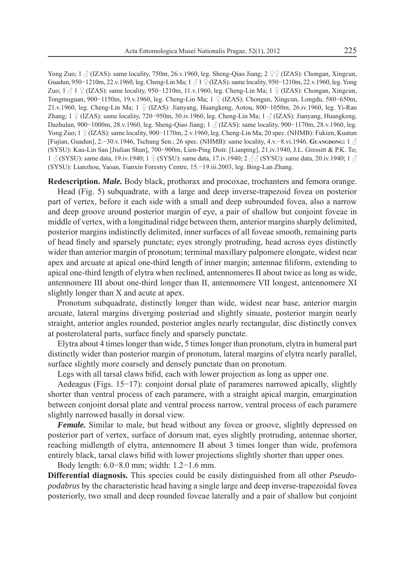Yong Zuo; 1  $\beta$  (IZAS): same locality, 750m, 26.v.1960, leg. Sheng-Qiao Jiang; 2  $\mathcal{Q}\mathcal{Q}$  (IZAS): Chongan, Xingcun, Guadun, 950−1210m, 22.v.1960, leg. Cheng-Lin Ma; 1  $\beta$  1  $\beta$  (IZAS): same locality, 950−1210m, 22.v.1960, leg. Yong Zuo; 1  $\text{\textdegree}$  1 \  $\text{\textdegree}$  (IZAS): same locality, 950−1210m, 11.v.1960, leg. Cheng-Lin Ma; 1 \  $\text{\textdegree}$  (IZAS): Chongan, Xingcun, Tongmuguan, 900−1150m, 19.v.1960, leg. Cheng-Lin Ma; 1 (IZAS): Chongan, Xingcun, Longdu, 580−650m, 21.v.1960, leg. Cheng-Lin Ma; 1 (IZAS): Jianyang, Huangkeng, Aotou, 800−1050m, 26.iv.1960, leg. Yi-Ran Zhang; 1 ° (IZAS): same locality, 720−950m, 30.iv.1960, leg. Cheng-Lin Ma; 1  $\beta$  (IZAS): Jianyang, Huangkeng, Dazhulan, 900−1000m, 28.v.1960, leg. Sheng-Qiao Jiang; 1 (IZAS): same locality, 900−1170m, 28.v.1960, leg. Yong Zuo; 1 (IZAS): same locality, 900−1170m, 2.v.1960, leg. Cheng-Lin Ma; 20 spec. (NHMB): Fukien, Kuatun [Fujian, Guadun], 2.−30.v.1946, Tschung Sen.; 26 spec. (NHMB): same locality, 4.v.−8.vi.1946. **GUANGDONG:** 1 (SYSU): Kau-Lin San [Jiulian Shan], 700−900m, Lien-Ping Distr. [Lianping], 21.iv.1940, J.L. Gressitt & P.K. To;  $1 \text{ } \partial$  (SYSU): same data, 19.iv.1940; 1  $\Omega$  (SYSU): same data, 17.iv.1940; 2  $\partial$   $\partial$  (SYSU): same data, 20.iv.1940; 1  $\partial$ (SYSU): Lianzhou, Yaoan, Tianxin Forestry Centre, 15.−19.iii.2003, leg. Bing-Lan Zhang.

**Redescription.** *Male.* Body black, prothorax and procoxae, trochanters and femora orange.

Head (Fig. 5) subquadrate, with a large and deep inverse-trapezoid fovea on posterior part of vertex, before it each side with a small and deep subrounded fovea, also a narrow and deep groove around posterior margin of eye, a pair of shallow but conjoint foveae in middle of vertex, with a longitudinal ridge between them, anterior margins sharply delimited, posterior margins indistinctly delimited, inner surfaces of all foveae smooth, remaining parts of head finely and sparsely punctate; eyes strongly protruding, head across eyes distinctly wider than anterior margin of pronotum; terminal maxillary palpomere elongate, widest near apex and arcuate at apical one-third length of inner margin; antennae filiform, extending to apical one-third length of elytra when reclined, antennomeres II about twice as long as wide, antennomere III about one-third longer than II, antennomere VII longest, antennomere XI slightly longer than X and acute at apex.

Pronotum subquadrate, distinctly longer than wide, widest near base, anterior margin arcuate, lateral margins diverging posteriad and slightly sinuate, posterior margin nearly straight, anterior angles rounded, posterior angles nearly rectangular, disc distinctly convex at posterolateral parts, surface finely and sparsely punctate.

Elytra about 4 times longer than wide, 5 times longer than pronotum, elytra in humeral part distinctly wider than posterior margin of pronotum, lateral margins of elytra nearly parallel, surface slightly more coarsely and densely punctate than on pronotum.

Legs with all tarsal claws bifid, each with lower projection as long as upper one.

Aedeagus (Figs. 15−17): conjoint dorsal plate of parameres narrowed apically, slightly shorter than ventral process of each paramere, with a straight apical margin, emargination between conjoint dorsal plate and ventral process narrow, ventral process of each paramere slightly narrowed basally in dorsal view.

*Female.* Similar to male, but head without any fovea or groove, slightly depressed on posterior part of vertex, surface of dorsum mat, eyes slightly protruding, antennae shorter, reaching midlength of elytra, antennomere II about 3 times longer than wide, profemora entirely black, tarsal claws bifid with lower projections slightly shorter than upper ones.

Body length: 6.0−8.0 mm; width: 1.2−1.6 mm.

**Differential diagnosis.** This species could be easily distinguished from all other *Pseudopodabrus* by the characteristic head having a single large and deep inverse-trapezoidal fovea posteriorly, two small and deep rounded foveae laterally and a pair of shallow but conjoint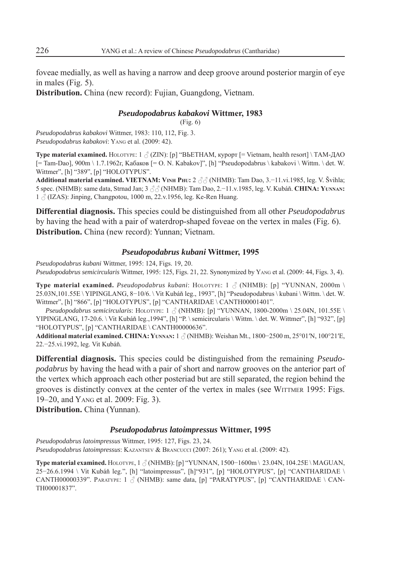foveae medially, as well as having a narrow and deep groove around posterior margin of eye in males (Fig. 5).

**Distribution.** China (new record): Fujian, Guangdong, Vietnam.

## *Pseudopodabrus kabakovi* **Wittmer, 1983**

(Fig. 6)

*Pseudopodabrus kabakovi* Wittmer, 1983: 110, 112, Fig. 3. *Pseudopodabrus kabakovi*: YANG et al. (2009: 42).

**Type material examined.**  $H_{\text{OLOTYPE: 1}} \land (ZIN)$ : [p] "ВЬЕТНАМ, курорт [= Vietnam, health resort] \ ТАМ-ДАО [= Tam-Dao], 900m \ 1.7.1962г, Kaбаков [= O. N. Kabakov]", [h] "Pseudopodabrus \ kabakovi \ Wittm. \ det. W. Wittmer", [h] "389", [p] "HOLOTYPUS".

Additional material examined. VIETNAM: V<sub>INH</sub> PHU: 2  $\beta\beta$  (NHMB): Tam Dao, 3.–11.vi.1985, leg. V. Švihla; 5 spec. (NHMB): same data, Strnad Jan; 3 (NHMB): Tam Dao, 2.−11.v.1985, leg. V. Kubáň. **CHINA: YUNNAN:** 1 (IZAS): Jinping, Changpotou, 1000 m, 22.v.1956, leg. Ke-Ren Huang.

**Differential diagnosis.** This species could be distinguished from all other *Pseudopodabrus* by having the head with a pair of waterdrop-shaped foveae on the vertex in males (Fig. 6). **Distribution.** China (new record): Yunnan; Vietnam.

### *Pseudopodabrus kubani* **Wittmer, 1995**

*Pseudopodabrus kubani* Wittmer, 1995: 124, Figs. 19, 20. *Pseudopodabrus semicircularis* Wittmer, 1995: 125, Figs. 21, 22. Synonymized by YANG et al. (2009: 44, Figs. 3, 4).

**Type material examined.** *Pseudopodabrus kubani*: HOLOTYPE: 1  $\beta$  (NHMB): [p] "YUNNAN, 2000m \ 25.03N,101.55E \ YIPINGLANG, 8−10/6. \ Vit Kubáň leg., 1993", [h] "Pseudopodabrus \ kubani \ Wittm. \ det. W. Wittmer", [h] "866", [p] "HOLOTYPUS", [p] "CANTHARIDAE \ CANTH00001401".

*Pseudopodabrus semicircularis*: HOLOTYPE:  $1 \text{ } \textcircled{}$  (NHMB): [p] "YUNNAN, 1800-2000m \ 25.04N, 101.55E \ YIPINGLANG, 17-20.6. \ Vit Kubáň leg.,1994", [h] "P. \ semicircularis \ Wittm. \ det. W. Wittmer", [h] "932", [p] "HOLOTYPUS", [p] "CANTHARIDAE \ CANTH00000636".

**Additional material examined. CHINA: YUNNAN:** 1 (NHMB): Weishan Mt., 1800−2500 m, 25°01′N, 100°21′E, 22.−25.vi.1992, leg. Vit Kubáň.

**Differential diagnosis.** This species could be distinguished from the remaining *Pseudopodabrus* by having the head with a pair of short and narrow grooves on the anterior part of the vertex which approach each other posteriad but are still separated, the region behind the grooves is distinctly convex at the center of the vertex in males (see WITTMER 1995: Figs. 19–20, and YANG et al. 2009: Fig. 3).

**Distribution.** China (Yunnan).

### *Pseudopodabrus latoimpressus* **Wittmer, 1995**

*Pseudopodabrus latoimpressus* Wittmer, 1995: 127, Figs. 23, 24. *Pseudopodabrus latoimpressus*: KAZANTSEV & BRANCUCCI (2007: 261); YANG et al. (2009: 42).

Type material examined. **HOLOTYPE, 1**   $\circ$  (NHMB): [p] "YUNNAN, 1500-1600m \ 23.04N, 104.25E \ MAGUAN, 25−26.6.1994 \ Vit Kubáň leg.", [h] "latoimpressus", [h]"931", [p] "HOLOTYPUS", [p] "CANTHARIDAE \ CANTH00000339". PARATYPE: 1  $\circled{}$  (NHMB): same data, [p] "PARATYPUS", [p] "CANTHARIDAE \ CAN-TH00001837".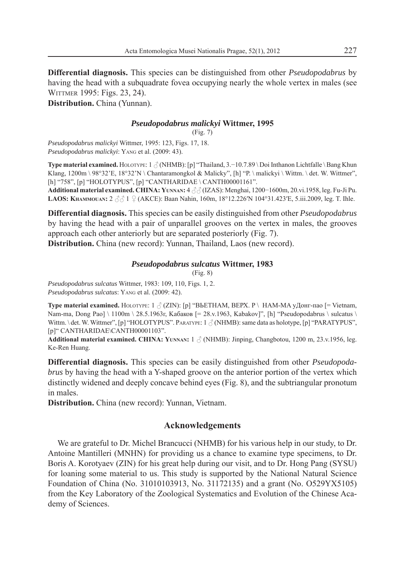**Differential diagnosis.** This species can be distinguished from other *Pseudopodabrus* by having the head with a subquadrate fovea occupying nearly the whole vertex in males (see WITTMER 1995: Figs. 23, 24).

**Distribution.** China (Yunnan).

## *Pseudopodabrus malickyi* **Wittmer, 1995**

(Fig. 7)

*Pseudopodabrus malickyi* Wittmer, 1995: 123, Figs. 17, 18. *Pseudopodabrus malickyi* : YANG et al. (2009: 43).

**Type material examined.** HOLOTYPE: 1 (NHMB): [p] "Thailand, 3.−10.7.89 \ Doi Inthanon Lichtfalle \ Bang Khun Klang,  $1200m \ 98°32'E$ ,  $18°32'N \ \mathrm{Chantaramongkol} \ \& \ \mathrm{Malicky}$ ", [h] "P. \ malickyi \ Wittm. \ det. W. Wittmer", [h] "758", [p] "HOLOTYPUS", [p] "CANTHARIDAE \ CANTH00001161".

**Additional material examined. CHINA: YUNNAN:** 4 (IZAS): Menghai, 1200−1600m, 20.vi.1958, leg. Fu-Ji Pu. LAOS: Кнаммоил»: 2 3 3 1 ♀ (АКСЕ): Baan Nahin, 160m, 18°12.226′N 104°31.423′E, 5.iii.2009, leg. T. Ihle.

**Differential diagnosis.** This species can be easily distinguished from other *Pseudopodabrus*  by having the head with a pair of unparallel grooves on the vertex in males, the grooves approach each other anteriorly but are separated posteriorly (Fig. 7).

**Distribution.** China (new record): Yunnan, Thailand, Laos (new record).

## *Pseudopodabrus sulcatus* **Wittmer, 1983**

(Fig. 8)

*Pseudopodabrus sulcatus* Wittmer, 1983: 109, 110, Figs. 1, 2. *Pseudopodabrus sulcatus*: YANG et al. (2009: 42).

Type material examined. Но<sub>LOTYPE:</sub> 1 Ѯ (ZIN): [p] "ВЬЕТНАМ, ВЕРХ. Р \ НАМ-МА уДонг-пао [= Vietnam, Nam-ma, Dong Pao] \ 1100m \ 28.5.1963г, Кабаков [= 28.v.1963, Kabakov]", [h] "Pseudopodabrus \ sulcatus \ Wittm. \ det. W. Wittmer", [p] "HOLOTYPUS". PARATYPE:  $1 \text{ } \textcircled{}$  (NHMB): same data as holotype, [p] "PARATYPUS", [p]" CANTHARIDAE\CANTH00001103".

Additional material examined. CHINA: YUNNAN: 1  $\circ$  (NHMB): Jinping, Changbotou, 1200 m, 23.v.1956, leg. Ke-Ren Huang.

**Differential diagnosis.** This species can be easily distinguished from other *Pseudopodabrus* by having the head with a Y-shaped groove on the anterior portion of the vertex which distinctly widened and deeply concave behind eyes (Fig. 8), and the subtriangular pronotum in males.

**Distribution.** China (new record): Yunnan, Vietnam.

# **Acknowledgements**

We are grateful to Dr. Michel Brancucci (NHMB) for his various help in our study, to Dr. Antoine Mantilleri (MNHN) for providing us a chance to examine type specimens, to Dr. Boris A. Korotyaev (ZIN) for his great help during our visit, and to Dr. Hong Pang (SYSU) for loaning some material to us. This study is supported by the National Natural Science Foundation of China (No. 31010103913, No. 31172135) and a grant (No. O529YX5105) from the Key Laboratory of the Zoological Systematics and Evolution of the Chinese Academy of Sciences.